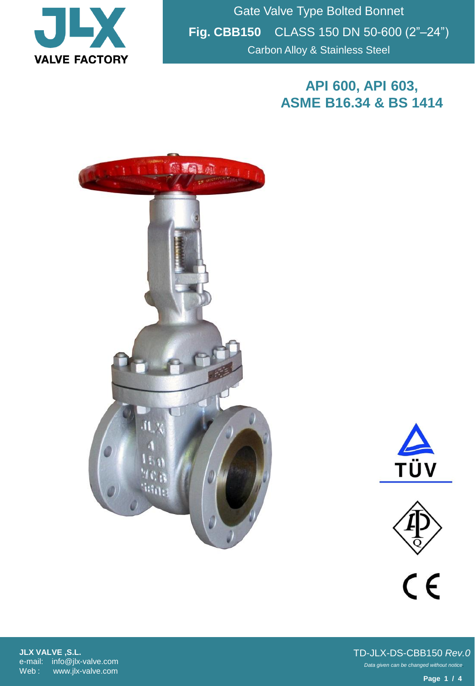

Gate Valve Type Bolted Bonnet **Fig. CBB150** CLASS 150 DN 50-600 (2"–24") Carbon Alloy & Stainless Steel

## **API 600, API 603, ASME B16.34 & BS 1414**







 $C \in$ 

**JLX VALVE ,S.L.** e-mail: info@jlx-valve.com Web : www.jlx-valve.com

*Data given can be changed without notice.* TD-JLX-DS-CBB150 *Rev.0*

**Page 1 / 4**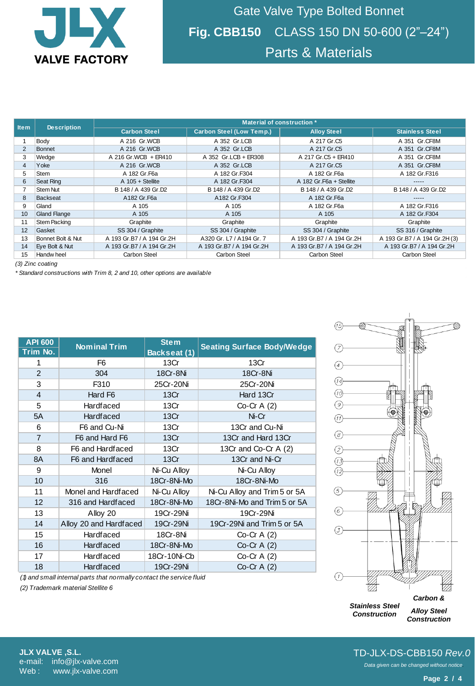

Gate Valve Type Bolted Bonnet **Fig. CBB150** CLASS 150 DN 50-600 (2"–24") Parts & Materials

| <b>Item</b>      | <b>Description</b>  | Material of construction * |                           |                           |                               |  |  |  |
|------------------|---------------------|----------------------------|---------------------------|---------------------------|-------------------------------|--|--|--|
|                  |                     | <b>Carbon Steel</b>        | Carbon Steel (Low Temp.), | <b>Alloy Steel</b>        | <b>Stainless Steel</b>        |  |  |  |
|                  | Body                | A 216 Gr.WCB               | A 352 Gr.LCB              | A 217 Gr.C5               | A 351 Gr.CF8M                 |  |  |  |
| 2                | Bonnet              | A 216 Gr.WCB               | A 352 Gr.LCB              | A 217 Gr.C5               | A 351 Gr.CF8M                 |  |  |  |
| 3                | Wedge               | A 216 Gr.WCB + ER410       | A 352 Gr.LCB + ER308      | A 217 Gr.C5 + ER410       | A 351 Gr.CF8M                 |  |  |  |
| 4                | Yoke                | A 216 Gr.WCB               | A 352 Gr.LCB              | A 217 Gr.C5               | A 351 Gr.CF8M                 |  |  |  |
| 5                | <b>Stem</b>         | A 182 Gr. F6a              | A 182 Gr.F304             | A 182 Gr.F6a              | A 182 Gr.F316                 |  |  |  |
| 6                | Seat Ring           | $A$ 105 + Stellite         | A 182 Gr.F304             | A 182 Gr. F6a + Stellite  | $- - - - -$                   |  |  |  |
|                  | Stem Nut            | B 148 / A 439 Gr.D2        | B 148 / A 439 Gr.D2       | B 148 / A 439 Gr.D2       | B 148 / A 439 Gr.D2           |  |  |  |
| 8                | Backseat            | A182 Gr.F6a                | A182 Gr.F304              | A 182 Gr.F6a              |                               |  |  |  |
| 9                | Gland               | A 105                      | A 105                     | A 182 Gr.F6a              | A 182 Gr.F316                 |  |  |  |
| 10               | <b>Gland Flange</b> | A 105                      | A 105                     | A 105                     | A 182 Gr.F304                 |  |  |  |
| 11               | <b>Stem Packing</b> | Graphite                   | Graphite                  | Graphite                  | Graphite                      |  |  |  |
| 12               | Gasket              | SS 304 / Graphite          | SS 304 / Graphite         | SS 304 / Graphite         | SS 316 / Graphite             |  |  |  |
| 13               | Bonnet Bolt & Nut   | A 193 Gr.B7 / A 194 Gr.2H  | A320 Gr. L7 / A194 Gr. 7  | A 193 Gr.B7 / A 194 Gr.2H | A 193 Gr.B7 / A 194 Gr.2H (3) |  |  |  |
| 14               | Eye Bolt & Nut      | A 193 Gr.B7 / A 194 Gr.2H  | A 193 Gr.B7 / A 194 Gr.2H | A 193 Gr.B7 / A 194 Gr.2H | A 193 Gr.B7 / A 194 Gr.2H     |  |  |  |
| 15               | Handw heel          | <b>Carbon Steel</b>        | Carbon Steel              | Carbon Steel              | <b>Carbon Steel</b>           |  |  |  |
| (3) Zinc coating |                     |                            |                           |                           |                               |  |  |  |

*(3) Zinc coating*

*\* Standard constructions with Trim 8, 2 and 10, other options are available*

| <b>API 600</b><br>Trim No. | <b>Nominal Trim</b>    | <b>Stem</b><br>Backseat (1) | <b>Seating Surface Body/Wedge</b> |  |
|----------------------------|------------------------|-----------------------------|-----------------------------------|--|
| 1                          | F6                     |                             | 13Cr                              |  |
| 2                          | 304                    | 18Cr-8Ni                    | 18Cr-8Ni                          |  |
| 3                          | F310                   | 25Cr-20Ni                   | 25Cr-20Ni                         |  |
| $\overline{4}$             | Hard F <sub>6</sub>    | 13Cr                        | Hard 13Cr                         |  |
| 5                          | <b>Hardfaced</b>       | 13Cr                        | $Co-Cr A(2)$                      |  |
| 5A                         | <b>Hardfaced</b>       | 13Cr                        | Ni-Cr                             |  |
| 6                          | F6 and Cu-Ni           | 13Cr                        | 13Cr and Cu-Ni                    |  |
| $\overline{7}$             | F6 and Hard F6         | 13Cr                        | 13Cr and Hard 13Cr                |  |
| 8                          | F6 and Hardfaced       | 13Cr                        | 13Cr and Co-Cr A (2)              |  |
| 8A                         | F6 and Hardfaced       | 13Cr                        | 13Cr and Ni-Cr                    |  |
| 9                          | Monel                  | Ni-Cu Alloy                 | Ni-Cu Alloy                       |  |
| 10                         | 316                    | 18Cr-8Ni-Mo                 | 18Cr-8Ni-Mo                       |  |
| 11                         | Monel and Hardfaced    |                             | Ni-Cu Alloy and Trim 5 or 5A      |  |
| 12                         | 316 and Hardfaced      |                             | 18Cr-8Ni-Mo and Trim 5 or 5A      |  |
| 13                         | Alloy 20               |                             | 19Cr-29Ni                         |  |
| 14                         | Alloy 20 and Hardfaced | 19Cr-29Ni                   | 19Cr-29Ni and Trim 5 or 5A        |  |
| 15                         | <b>Hardfaced</b>       | 18Cr-8Ni                    | Co-Cr $A(2)$                      |  |
| 16                         | <b>Hardfaced</b>       | 18Cr-8Ni-Mo                 | Co-Cr A $(2)$                     |  |
| 17                         | <b>Hardfaced</b>       | 18Cr-10Ni-Cb                | $Co-Cr A(2)$                      |  |
| 18                         | Hardfaced              | 19Cr-29Ni                   | Co-Cr $A(2)$                      |  |



*Stainless Steel Construction*

*Alloy Steel Construction*

*(1) and small internal parts that normally contact the service fluid*

*(2) Trademark material Stellite 6*

*Data given can be changed without notice.* TD-JLX-DS-CBB150 *Rev.0*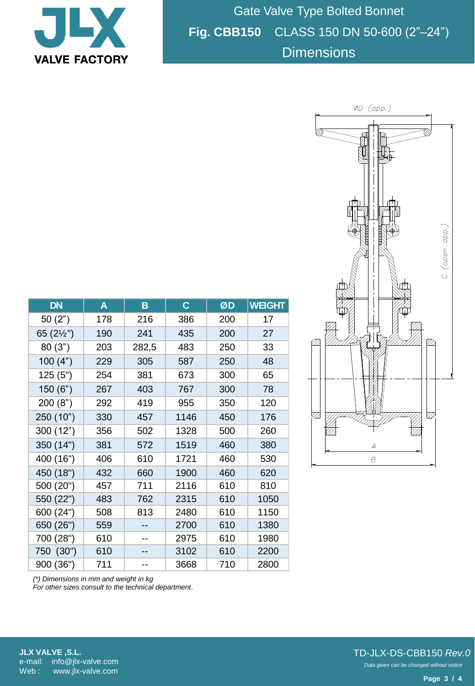

Gate Valve Type Bolted Bonnet **Fig. CBB150** CLASS 150 DN 50-600 (2"–24") **Dimensions** 



| <b>DN</b>           | A   | B     | $\mathbf C$ | ØD  | <b>WEIGHT</b> |
|---------------------|-----|-------|-------------|-----|---------------|
| 50(2")              | 178 | 216   | 386         | 200 | 17            |
| 65 $(2\frac{1}{2})$ | 190 | 241   | 435         | 200 | 27            |
| 80(3")              | 203 | 282,5 | 483         | 250 | 33            |
| 100(4")             | 229 | 305   | 587         | 250 | 48            |
| 125(5")             | 254 | 381   | 673         | 300 | 65            |
| 150(6")             | 267 | 403   | 767         | 300 | 78            |
| 200(8")             | 292 | 419   | 955         | 350 | 120           |
| 250 (10")           | 330 | 457   | 1146        | 450 | 176           |
| 300 (12")           | 356 | 502   | 1328        | 500 | 260           |
| 350 (14")           | 381 | 572   | 1519        | 460 | 380           |
| 400 (16")           | 406 | 610   | 1721        | 460 | 530           |
| 450 (18")           | 432 | 660   | 1900        | 460 | 620           |
| 500 (20")           | 457 | 711   | 2116        | 610 | 810           |
| 550 (22")           | 483 | 762   | 2315        | 610 | 1050          |
| 600 (24")           | 508 | 813   | 2480        | 610 | 1150          |
| 650 (26")           | 559 |       | 2700        | 610 | 1380          |
| 700 (28")           | 610 |       | 2975        | 610 | 1980          |
| 750 (30")           | 610 |       | 3102        | 610 | 2200          |
| 900 (36")           | 711 |       | 3668        | 710 | 2800          |

*(\*) Dimensions in mm and weight in kg*

*For other sizes consult to the technical department.*